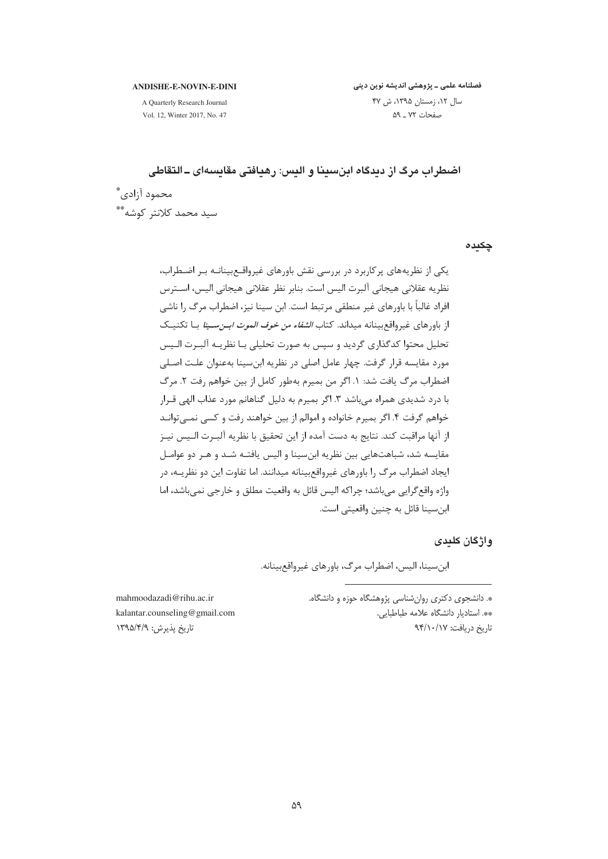#### **ANDISHE-E-NOVIN-E-DINI**

A Quarterly Research Journal Vol. 12, Winter 2017, No. 47 فصلنامه علمی ـ پژوهشی اندیشه نوین دینی سال ١٢، زمستان ١٣٩۵، ش ۴٧ صفحات ٧٢ ـ ٥٩

اضطراب مرگ از دیدگاه این سینا و الیس: رهبافتی مقایسهای ـ التقاطی محمود آزادي\*ّ سید محمد کلانتر کوشه\*\*

چکىدە

یکی از نظریههای پرکاربرد در بررسی نقش باورهای غیرواقعبینانـه بـر اضطراب، نظريه عقلاني هيجاني آلبرت اليس است. بناير نظر عقلاني هيجاني اليس، اســترس افراد غالباً با باورهای غیر منطقی مرتبط است. ابن سینا نیز، اضطراب مرگ را ناشی از باورهای غیرواقع بینانه میداند. کتاب *الشفاء من خوف الموت ابـن سـینا* بـا تکنیـک تحليل محتوا كدگذاري گرديد و سپس به صورت تحليلي بـا نظريـه آلبـرت الـيس مورد مقايسه قرار گرفت. چهار عامل اصلي در نظريه ابن سينا بهعنوان علـت اصـلي اضطراب مرگ یافت شد: ١. اگر من بمیرم بهطور کامل از بین خواهم رفت ٢. مرگ با درد شدیدی همراه می باشد ۳. اگر بمیرم به دلیل گناهانم مورد عذاب الهی قــرار خواهم گرفت ۴. اگر بمیرم خانواده و اموالم از بین خواهند رفت و کسی نمـیتوانـد از آنها مراقبت كند. نتايج به دست آمده از اين تحقيق با نظريه آلبــرت الــيس نيــز .<br>مقايسه شد، شباهتهايي بين نظريه ابن سينا و اليس يافتـه شـد و هـر دو عوامـل ایجاد اضطراب مرگ را باورهای غیرواقع بینانه میدانند. اما تفاوت این دو نظریـه، در واژه واقع گرايي مي باشد؛ چراكه اليس قائل به واقعيت مطلق و خارجي نمي باشد، اما ابن سينا قائل به چنين واقعيتي است.

#### و اژگان کلیدی

ابن سينا، اليس، اضطراب مرگ، باورهاي غيرواقع بينانه.

\*. دانشجوی دکتری روانشناسی پژوهشگاه حوزه و دانشگاه. \*\*. استادیار دانشگاه علامه طباطبایی. تاریخ دریافت: ۹۴/۱۰/۱۷

mahmoodazadi@rihu.ac.ir kalantar.counseling@gmail.com تاريخ پذيرش: ١٣٩۵/۴/٩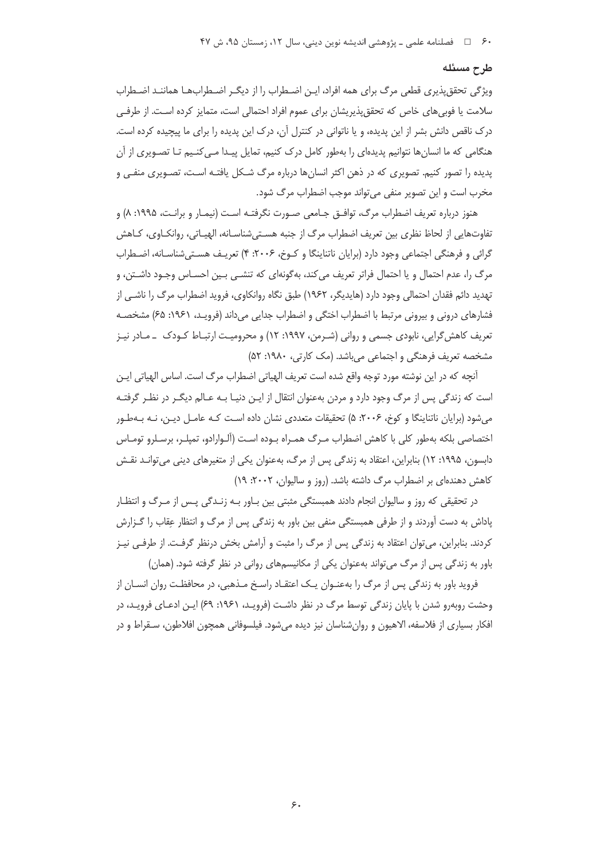#### طرح مسئله

ویژگی تحقق پذیری قطعی مرگ برای همه افراد، ایـن اضـطراب را از دیگـر اضـطرابـهـا هماننـد اضـطراب سلامت یا فوبی های خاص که تحقق پذیریشان برای عموم افراد احتمالی است، متمایز کرده اسـت. از طرفـی درک ناقص دانش بشر از این پدیده، و یا ناتوانی در کنترل آن، درک این پدیده را برای ما پیچیده کرده است. هنگامی که ما انسانها نتوانیم پدیدهای را بهطور کامل درک کنیم، تمایل پیـدا مـی کنـیم تـا تصـویری از آن پدیده را تصور کنیم. تصویری که در ذهن اکثر انسانها درباره مرگ شـکل یافتـه اسـت، تصـویری منفـی و مخرب است و این تصویر منفی میتواند موجب اضطراب مرگ شود.

هنوز درباره تعريف اضطراب مرگ، توافــق جــامعي صــورت نگرفتــه اسـت (نيمــار و برانــت، ١٩٩۵: ٨) و تفاوتهایی از لحاظ نظری بین تعریف اضطراب مرگ از جنبه هستیشناسـانه، الهیـاتی، روانکـاوی، کـاهش گرائی و فرهنگی اجتماعی وجود دارد (برایان ناتناینگا و کـوخ، ۲۰۰۶: ۴) تعریـف هسـتی شناسـانه، اضـطراب مرگ را، عدم احتمال و یا احتمال فراتر تعریف می کند، بهگونهای که تنشـی بـین احسـاس وجـود داشـتن، و تهدید دائم فقدان احتمالی وجود دارد (هایدیگر، ۱۹۶۲) طبق نگاه روانکاوی، فروید اضطراب مرگ را ناشـی از فشارهای درونی و بیرونی مرتبط با اضطراب اختگی و اضطراب جدایی میداند (فرویـد، ۱۹۶۱: ۶۵) مشخصـه تعریف کاهش گرایی، نابودی جسمی و روانی (شـرمن، ۱۹۹۷: ۱۲) و محرومیـت ارتبـاط کـودک ــ مـادر نیـز مشخصه تعریف فرهنگی و اجتماعی می باشد. (مک کارتی، ۱۹۸۰: ۵۲)

آنچه که در این نوشته مورد توجه واقع شده است تعریف الهیاتی اضطراب مرگ است. اساس الهیاتی ایـن است که زندگی پس از مرگ وجود دارد و مردن بهعنوان انتقال از ایـن دنیـا بـه عـالم دیگـر در نظـر گرفتـه میشود (برایان ناتناینگا و کوخ، ۲۰۰۶: ۵) تحقیقات متعددی نشان داده است کـه عامـل دیـن، نـه بـهطـور اختصاصی بلکه بهطور کلی با کاهش اضطراب مـرگ همـراه بـوده اسـت (آلـوارادو، تمپلـر، برسـلرو تومـاس دابسون، ۱۹۹۵: ۱۲) بنابراین، اعتقاد به زندگی پس از مرگ، بهعنوان یکی از متغیرهای دینی میتوانـد نقـش کاهش دهندهای بر اضطراب مرگ داشته باشد. (روز و سالیوان، ۲۰۰۲: ۱۹)

در تحقیقی که روز و سالیوان انجام دادند همبستگی مثبتی بین بـاور بـه زنـدگی پـس از مـرگ و انتظـار پاداش به دست آوردند و از طرفی همبستگی منفی بین باور به زندگی پس از مرگ و انتظار عِقاب را گـزارش کردند. بنابراین، می توان اعتقاد به زندگی پس از مرگ را مثبت و آرامش بخش درنظر گرفت. از طرفی نیـز باور به زندگی پس از مرگ می تواند بهعنوان یکی از مکانیسمهای روانی در نظر گرفته شود. (همان)

فروید باور به زندگی پس از مرگ را بهعنـوان یـک اعتقـاد راسـخ مـذهبی، در محافظـت روان انسـان از وحشت روبهرو شدن با پایان زندگی توسط مرگ در نظر داشت (فرویـد، ۱۹۶۱: ۶۹) ایـن ادعـای فرویـد، در افكار بسياري از فلاسفه، الاهيون و روانشناسان نيز ديده ميشود. فيلسوفاني همچون افلاطون، سـقراط و در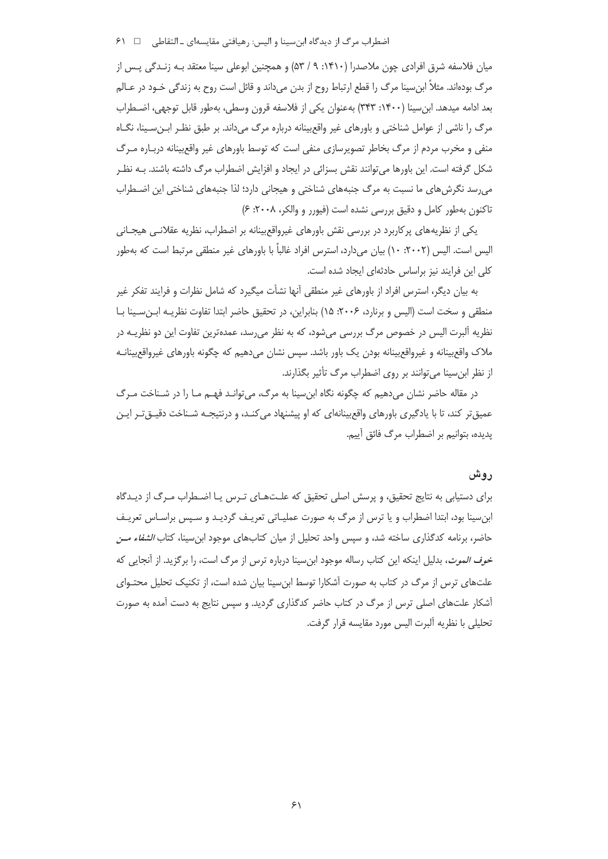اضطراب مرگ از دیدگاه ابن سینا و الیس: رهیافتی مقایسهای ـ التقاطی ه ه ا ۶۱

میان فلاسفه شرق افرادی چون ملاصدرا (۱۴۱۰: ۹/ ۵۳) و همچنین ابوعلی سینا معتقد بـه زنـدگی پـس از مرگ بودهاند. مثلاً ابن سینا مرگ را قطع ارتباط روح از بدن می داند و قائل است روح به زندگی خـود در عـالم بعد ادامه میدهد. ابن سینا (۱۴۰۰: ۳۴۳) بهعنوان یکی از فلاسفه قرون وسطی، بهطور قابل توجهی، اضطراب مرگ را ناشی از عوامل شناختی و باورهای غیر واقع بینانه درباره مرگ میداند. بر طبق نظـر ابـنِ سـینا، نگــاه منفی و مخرب مردم از مرگ بخاطر تصویرسازی منفی است که توسط باورهای غیر واقعبینانه دربـاره مـرگ شکل گرفته است. این باورها میتوانند نقش بسزائی در ایجاد و افزایش اضطراب مرگ داشته باشند. بـه نظـر می رسد نگرش های ما نسبت به مرگ جنبههای شناختی و هیجانی دارد؛ لذا جنبههای شناختی این اضـطراب تاکنون بهطور کامل و دقیق بررسی نشده است (فیورر و والکر، ۲۰۰۸: ۶)

یکی از نظریههای پرکاربرد در بررسی نقش باورهای غیرواقع بینانه بر اضطراب، نظریه عقلانبی هیجـانی الیس است. الیس (۲۰۰۲: ۱۰) بیان میدارد، استرس افراد غالباً با باورهای غیر منطقی مرتبط است که بهطور کلی این فرایند نیز براساس حادثهای ایجاد شده است.

به بیان دیگر، استرس افراد از باورهای غیر منطقی آنها نشأت میگیرد که شامل نظرات و فرایند تفکر غیر منطقی و سخت است (الیس و برنارد، ۲۰۰۶: ۱۵) بنابراین، در تحقیق حاضر ابتدا تفاوت نظریـه ایـن سـینا بـا نظریه آلبرت الیس در خصوص مرگ بررسی میشود، که به نظر میرسد، عمدهترین تفاوت این دو نظریـه در ملاک واقع بینانه و غیرواقع بینانه بودن یک باور باشد. سپس نشان می دهیم که چگونه باورهای غیرواقع بینانـه از نظر ابن سینا می توانند بر روی اضطراب مرگ تأثیر بگذارند.

در مقاله حاضر نشان میدهیم که چگونه نگاه ابنِسینا به مرگ، میتوانـد فهـم مـا را در شـناخت مـرگ عمیق تر کند، تا با یادگیری باورهای واقع بینانهای که او پیشنهاد می کنـد، و درنتیجـه شـناخت دقیــق تـر ایــن پدیده، بتوانیم بر اضطراب مرگ فائق آییم.

## ر و ش

برای دستیابی به نتایج تحقیق، و پرسش اصلی تحقیق که علـتهـای تـرس یـا اضـطراب مـرگ از دیـدگاه ابنسینا بود، ابتدا اضطراب و یا ترس از مرگ به صورت عملیـاتی تعریـف گردیـد و سـپس براسـاس تعریـف حاضر، برنامه کدگذاری ساخته شد، و سپس واحد تحلیل از میان کتابهای موجود ابنِسینا، کتاب *الشفاء مــن خوف الموت*، بدلیل اینکه این کتاب رساله موجود ابن سینا درباره ترس از مرگ است، را برگزید. از آنجایی که علتهای ترس از مرگ در کتاب به صورت آشکارا توسط ابن سینا بیان شده است، از تکنیک تحلیل محتـوای آشکار علتهای اصلی ترس از مرگ در کتاب حاضر کدگذاری گردید. و سپس نتایج به دست آمده به صورت تحليلي با نظريه آلبرت اليس مورد مقايسه قرار گرفت.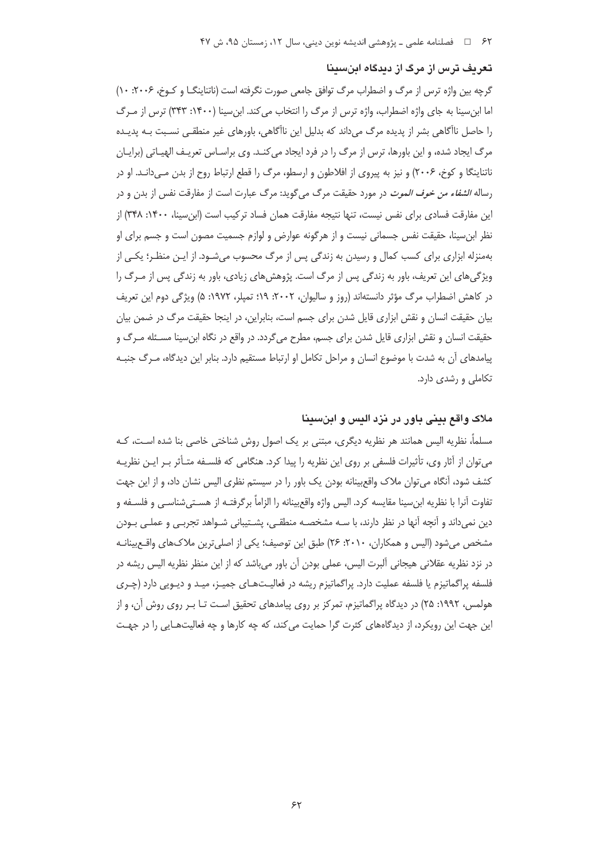#### تعریف ترس از مرگ از دیدگاه اینسینا

گرچه بین واژه ترس از مرگ و اضطراب مرگ توافق جامعی صورت نگرفته است (ناتناینگــا و کــوخ، ۲۰۰۶: ۱۰) اما ابن سینا به جای واژه اضطراب، واژه ترس از مرگ را انتخاب می کند. ابن سینا (۱۴۰۰: ۳۴۳) ترس از مـرگ را حاصل ناآگاهی بشر از پدیده مرگ میداند که بدلیل این ناآگاهی، باورهای غیر منطقـی نسـبت بـه پدیـده مرگ ایجاد شده، و این باورها، ترس از مرگ را در فرد ایجاد می کنـد. وی براسـاس تعریـف الهیـاتی (برایـان ناتناینگا و کوخ، ۲۰۰۶) و نیز به پیروی از افلاطون و ارسطو، مرگ را قطع ارتباط روح از بدن مے دانـد. او در رساله *الشفاء من خوف الموت* در مورد حقيقت مرگ ميگويد: مرگ عبارت است از مفارقت نفس از بدن و در این مفارقت فسادی برای نفس نیست، تنها نتیجه مفارقت همان فساد ترکیب است (ابن سینا، ۱۴۰۰: ۳۴۸) از نظر ابن سینا، حقیقت نفس جسمانی نیست و از هر گونه عوارض و لوازم جسمیت مصون است و جسم برای او بهمنزله ابزاری برای کسب کمال و رسیدن به زندگی پس از مرگ محسوب میشـود. از ایـن منظـر؛ یکـی از ویژگی های این تعریف، باور به زندگی پس از مرگ است. پژوهش های زیادی، باور به زندگی پس از مـرگ را در کاهش اضطراب مرگ مؤثر دانستهاند (روز و سالیوان، ۲۰۰۲: ۱۹: تمیلر، ۱۹۷۲: ۵) ویژگی دوم این تعریف بیان حقیقت انسان و نقش ابزاری قایل شدن برای جسم است، بنابراین، در اینجا حقیقت مرگ در ضمن بیان حقیقت انسان و نقش ابزاری قایل شدن برای جسم، مطرح میگردد. در واقع در نگاه ابن سینا مسـئله مـرگ و پیامدهای آن به شدت با موضوع انسان و مراحل تکامل او ارتباط مستقیم دارد. بنابر این دیدگاه، مـرگ جنبـه تکاملی و رشدی دارد.

## ملاک واقع بینی یاور در نزد الیس و اینسینا

مسلماً، نظریه الیس همانند هر نظریه دیگری، مبتنی بر یک اصول روش شناختی خاصی بنا شده اسـت، کـه میتوان از آثار وی، تأثیرات فلسفی بر روی این نظریه را پیدا کرد. هنگامی که فلسـفه متـأثر بـر ایـن نظریـه کشف شود، آنگاه می توان ملاک واقع بینانه بودن یک باور را در سیستم نظری الیس نشان داد، و از این جهت تفاوت آنرا با نظريه ابنِ سينا مقايسه كرد. اليس واژه واقع بينانه را الزاماً برگرفتـه از هسـتيشناسـي و فلسـفه و دین نمیداند و آنچه آنها در نظر دارند، با سـه مشخصـه منطقـی، پشــتیبانی شـواهد تجربـی و عملـی بـودن مشخص میشود (الیس و همکاران، ۲۰۱۰: ۲۶) طبق این توصیف؛ یکی از اصلی ترین ملاکهای واقـع بینانـه در نزد نظریه عقلانی هیجانی آلبرت الیس، عملی بودن آن باور میباشد که از این منظر نظریه الیس ریشه در فلسفه پراگماتیزم یا فلسفه عملیت دارد. پراگماتیزم ریشه در فعالیـتهـای جمیـز، میـد و دیـویی دارد (چـری هولمس، ۱۹۹۲: ۲۵) در دیدگاه پراگماتیزم، تمرکز بر روی پیامدهای تحقیق است تـا بـر روی روش آن، و از این جهت این رویکرد، از دیدگاههای کثرت گرا حمایت می کند، که چه کارها و چه فعالیتهـایی را در جهـت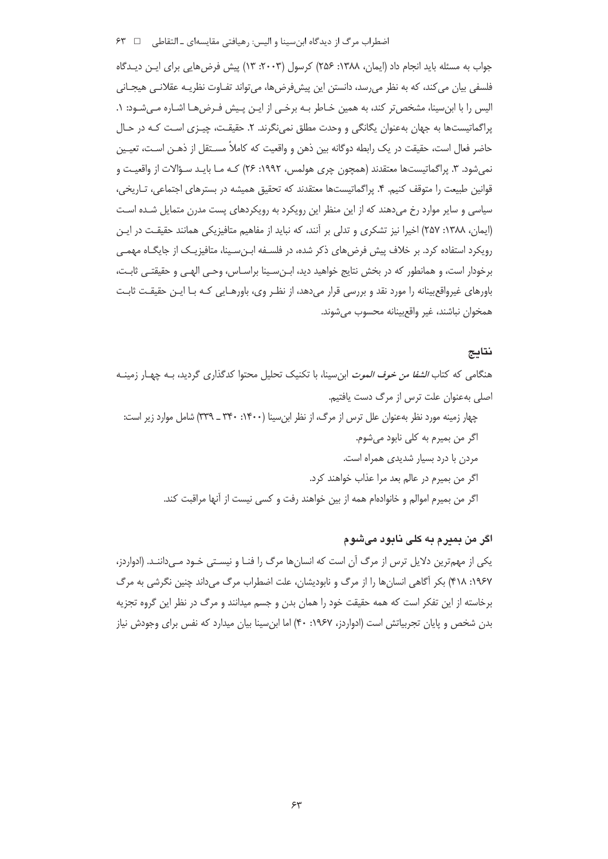اضطراب مرگ از دیدگاه ابن سینا و الیس: رهیافتی مقایسه|ی \_ التقاطی ۶۳

جواب به مسئله باید انجام داد (ایمان، ۱۳۸۸: ۲۵۶) کرسول (۲۰۰۳: ۱۳) پیش فرض هایی برای ایـن دیـدگاه فلسفی بیان می کند، که به نظر می رسد، دانستن این پیش فرض ها، می تواند تفـاوت نظریـه عقلانـی هیجـانی الیس را با ابن سینا، مشخص تر کند، به همین خـاطر بـه برخـی از ایـن پـیش فـرضهـا اشـاره مـیشـود: ۱. پراگماتیستها به جهان بهعنوان یگانگی و وحدت مطلق نمی نگرند. ۲. حقیقت، چیـزی اسـت کـه در حـال حاضر فعال است، حقیقت در یک رابطه دوگانه بین ذهن و واقعیت که کاملاً مسـتقل از ذهـن اسـت، تعیـین نمیشود. ۳. پراگماتیستها معتقدند (همچون چری هولمس، ۱۹۹۲: ۲۶) کـه مـا بایـد سـؤالات از واقعیـت و قوانین طبیعت را متوقف کنیم. ۴. پراگماتیستها معتقدند که تحقیق همیشه در بسترهای اجتماعی، تـاریخی، سیاسی و سایر موارد رخ میدهند که از این منظر این رویکرد به رویکردهای پست مدرن متمایل شـده اسـت (ایمان، ۱۳۸۸: ۲۵۷) اخیرا نیز تشکری و تدلی بر آنند، که نباید از مفاهیم متافیزیکی همانند حقیقت در ایـن رویکرد استفاده کرد. بر خلاف پیش فرضهای ذکر شده، در فلسـفه ابـنِسـینا، متافیزیـک از جایگـاه مهمـی برخودار است، و همانطور که در بخش نتایج خواهید دید، ابـنِ سـینا براسـاس، وحـی الهـی و حقیقتـی ثابـت، باورهای غیرواقع بینانه را مورد نقد و بررسی قرار میدهد، از نظر وی، باورهـایی کـه بـا ایـن حقیقـت ثابـت همخوان نباشند، غير واقع بينانه محسوب مي شوند.

## نتايج

هنگامی که کتاب *الشفا من خوف الموت* ابنِ سینا، با تکنیک تحلیل محتوا کدگذاری گردید، بـه چهـار زمینــه اصلی بهعنوان علت ترس از مرگ دست یافتیم. چهار زمینه مورد نظر بهعنوان علل ترس از مرگ، از نظر این سینا (۱۴۰۰: ۳۴۰ ـ ۳۳۹) شامل موارد زیر است: اگر من بميرم به كلي نابود مي شوم. مردن با درد بسیار شدیدی همراه است. اگر من بميرم در عالم بعد مرا عذاب خواهند كرد. اگر من بميرم اموالم و خانوادهام همه از بين خواهند رفت و كسي نيست از آنها مراقبت كند.

## اگر من بميرم به كلى نابود مىشوم

یکی از مهمترین دلایل ترس از مرگ آن است که انسانها مرگ را فنـا و نیسـتی خـود مـیداننـد. (ادواردز، ۱۹۶۷: ۴۱۸) بکر آگاهی انسانها را از مرگ و نابودیشان، علت اضطراب مرگ میداند چنین نگرشی به مرگ برخاسته از این تفکر است که همه حقیقت خود را همان بدن و جسم میدانند و مرگ در نظر این گروه تجزیه بدن شخص و پایان تجربیاتش است (ادواردز، ۱۹۶۷: ۴۰) اما ابنِ سینا بیان میدارد که نفس برای وجودش نیاز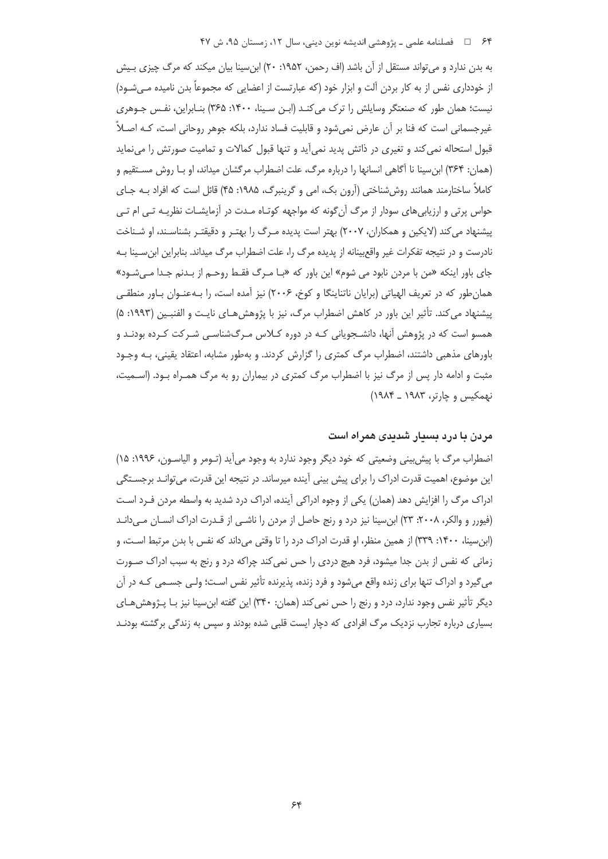به بدن ندارد و می تواند مستقل از آن باشد (اف رحمن، ۱۹۵۲: ۲۰) ابن سینا بیان میکند که مرگ چیزی بـیش از خودداری نفس از به کار بردن آلت و ابزار خود (که عبارتست از اعضایی که مجموعاً بدن نامیده مے شــود) نیست؛ همان طور که صنعتگر وسایلش را ترک می کنـد (ایـن سـینا، ۱۴۰۰: ۳۶۵) بنـابراین، نفـس جـوهری غیرجسمانی است که فنا بر آن عارض نمی شود و قابلیت فساد ندارد، بلکه جوهر روحانی است، کـه اصـلاً قبول استحاله نمی کند و تغیری در ذاتش پدید نمی آید و تنها قبول کمالات و تمامیت صورتش را می نماید (همان: ۳۶۴) ابن سینا نا آگاهی انسانها را درباره مرگ، علت اضطراب مرگشان میداند، او بـا روش مستقیم و کاملاً ساختارمند همانند روش شناختی (آرون بک، امی و گرینبرگ، ۱۹۸۵: ۴۵) قائل است که افراد بـه جـای حواس پرتی و ارزیابیهای سودار از مرگ آن گونه که مواجهه کوتـاه مـدت در آزمایشـات نظریـه تـی ام تـی پیشنهاد می کند (لایکین و همکاران، ۲۰۰۷) بهتر است پدیده مـرگ را بهتـر و دقیقتـر بشناسـند، او شـناخت نادرست و در نتیجه تفکرات غیر واقع بینانه از پدیده مرگ را، علت اضطراب مرگ میداند. بنابراین ابن سـینا بـه جای باور اینکه «من با مردن نابود می شوم» این باور که «بـا مـرگ فقـط روحـم از بـدنم جـدا مـیشـود» همان طور که در تعریف الهیاتی (برایان ناتناینگا و کوخ، ۲۰۰۶) نیز آمده است، را بـهعنـوان بـاور منطقـی پیشنهاد می کند. تأثیر این باور در کاهش اضطراب مرگ، نیز با پژوهش هـای نایـت و الفنبـین (۱۹۹۳: ۵) همسو است که در پژوهش آنها، دانشـجویانی کـه در دوره کــلاس مـرگ&نناسـی شـرکت کـرده بودنـد و باورهای مذهبی داشتند، اضطراب مرگ کمتری را گزارش کردند. و بهطور مشابه، اعتقاد یقینی، بـه وجـود مثبت و ادامه دار پس از مرگ نیز با اضطراب مرگ کمتری در بیماران رو به مرگ همـراه بـود. (اسـمیت، نهمکیس و چارتر، ۱۹۸۳ ـ ۱۹۸۴)

## مردن با درد بسیار شدیدی همراه است

اضطراب مرگ با پیش بینی وضعیتی که خود دیگر وجود ندارد به وجود میآید (تـومر و الیاسـون، ۱۹۹۶: ۱۵) این موضوع، اهمیت قدرت ادراک را برای پیش بینی آینده میرساند. در نتیجه این قدرت، میتوانـد برجسـتگی ادراک مرگ را افزایش دهد (همان) یکی از وجوه ادراکی آینده، ادراک درد شدید به واسطه مردن فـرد اسـت (فیورر و والکر، ۲۰۰۸: ۲۳) ابن سینا نیز درد و رنج حاصل از مردن را ناشـبی از قـدرت ادراک انســان مــی دانــد (ابن سینا، ۱۴۰۰: ۳۳۹) از همین منظر، او قدرت ادراک درد را تا وقتی می داند که نفس با بدن مرتبط است، و زمانی که نفس از بدن جدا میشود، فرد هیچ دردی را حس نمی کند چراکه درد و رنج به سبب ادراک صـورت میگیرد و ادراک تنها برای زنده واقع میشود و فرد زنده، پذیرنده تأثیر نفس است؛ ولـی جسـمی کـه در آن دیگر تأثیر نفس وجود ندارد، درد و رنج را حس نمی کند (همان: ۳۴۰) این گفته ابن سینا نیز بـا پـژوهش هـای بسیاری درباره تجارب نزدیک مرگ افرادی که دچار ایست قلبی شده بودند و سپس به زندگی برگشته بودنـد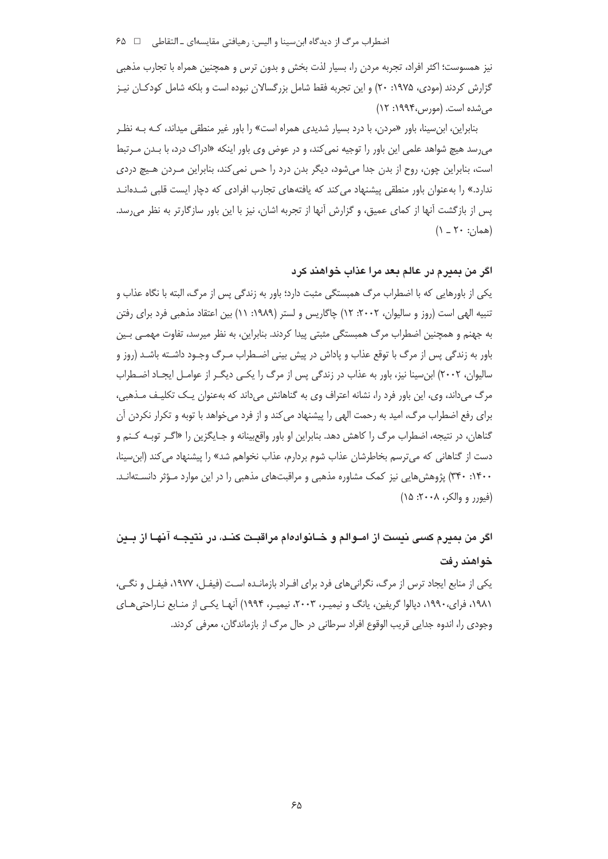نیز همسوست؛ اکثر افراد، تجربه مردن را، بسیار لذت بخش و بدون ترس و همچنین همراه با تجارب مذهبی گزارش کردند (مودی، ۱۹۷۵: ۲۰) و این تجربه فقط شامل بزرگسالان نبوده است و بلکه شامل کودکـان نیـز مے شدہ است. (مورین ،۱۹۹۴: ۱۲)

بنابراین، ابن سینا، باور «مردن، با درد بسیار شدیدی همراه است» را باور غیر منطقی میداند، کـه بـه نظـر میرسد هیچ شواهد علمی این باور را توجیه نمی *کند*، و در عوض وی باور اینکه «ادراک درد، با بـدن مـرتبط است، بنابراین چون، روح از بدن جدا میشود، دیگر بدن درد را حس نمی کند، بنابراین مـردن هـیچ دردی ندارد.» را بهعنوان باور منطقی پیشنهاد می *ک*ند که یافتههای تجارب افرادی که دچار ایست قلبی شـدهانـد پس از بازگشت آنها از کمای عمیق، و گزارش آنها از تجربه اشان، نیز با این باور سازگارتر به نظر می٬رسد.  $(1 - Y \cdot : \cdot \cdot | \circ \circ \circ)$ 

## اگر من بميرم در عالم بعد مرا عذاب خواهند كرد

یکی از باورهایی که با اضطراب مرگ همبستگی مثبت دارد؛ باور به زندگی پس از مرگ، البته با نگاه عذاب و تنبیه الهی است (روز و سالیوان، ۲۰۰۲: ۱۲) چاگاریس و لستر (۱۹۸۹: ۱۱) بین اعتقاد مذهبی فرد برای رفتن به جهنم و همچنین اضطراب مرگ همبستگی مثبتی پیدا کردند. بنابراین، به نظر میرسد، تفاوت مهمـی بـین باور به زندگی پس از مرگ با توقع عذاب و یاداش در پیش بینی اضـطراب مـرگ وجـود داشـته باشـد (روز و سالیوان، ۲۰۰۲) ابن سینا نیز، باور به عذاب در زندگی پس از مرگ را یکبی دیگـر از عوامـل ایجـاد اضـطراب مرگ میداند، وی، این باور فرد را، نشانه اعتراف وی به گناهانش میداند که بهعنوان یک تکلیف مـذهبی، برای رفع اضطراب مرگ، امید به رحمت الهی را پیشنهاد می کند و از فرد میخواهد با توبه و تکرار نکردن آن گناهان، در نتیجه، اضطراب مرگ را کاهش دهد. بنابراین او باور واقع بینانه و جـایگزین را «اگـر توبـه کـنـم و دست از گناهانی که میترسم بخاطرشان عذاب شوم بردارم، عذاب نخواهم شد» را پیشنهاد می کند (ابن سینا، ۱۴۰۰: ۳۴۰) پژوهش هایی نیز کمک مشاوره مذهبی و مراقبتهای مذهبی را در این موارد مـؤثر دانسـتهانـد. (فيورر و والكر، ٢٠٠٨: ١۵)

# اگر من بميرم كسى نيست از امــوالم و خــانوادهام مراقبــت كنــد، در نتيجــه آنهـا از بــين خواهند رفت

یکی از منابع ایجاد ترس از مرگ، نگرانی های فرد برای افـراد بازمانـده اسـت (فیفـل، ۱۹۷۷، فیفـل و نگـی، ۱۹۸۱، فرای،۱۹۹۰، دپالوا گریفین، پانگ و نیمیـر، ۲۰۰۳، نیمیـر، ۱۹۹۴) آنهـا یکـی از منـابع نـاراحتیِهـای وجودي را، اندوه جدايي قريب الوقوع افراد سرطاني در حال مرگ از بازماندگان، معرفي كردند.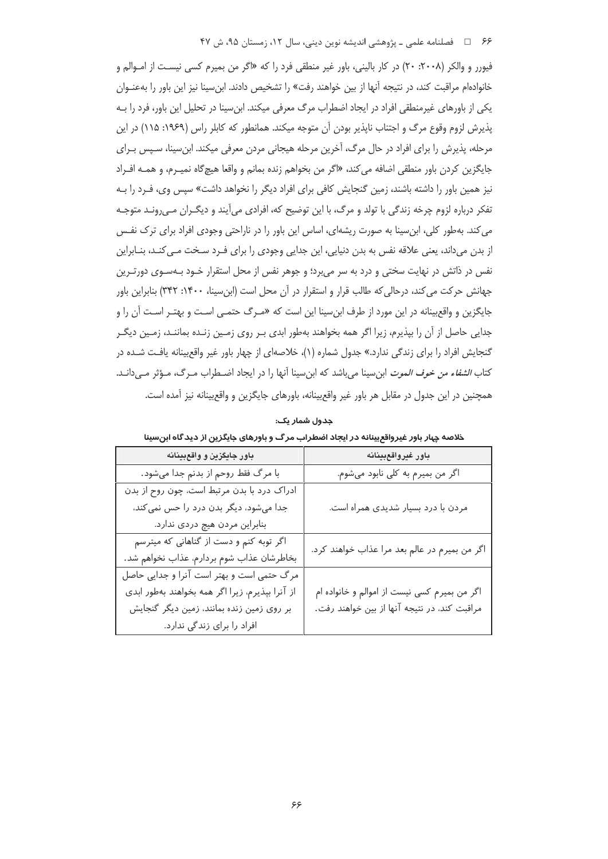فيورر و والكر (٢٠٠٨: ٢٠) در كار باليني، باور غير منطقي فرد را كه «اگر من بميرم كسي نيست از امـوالـم و خانوادهام مراقبت کند، در نتیجه آنها از بین خواهند رفت» را تشخیص دادند. ابن سینا نیز این باور را بهعنـوان یکی از باورهای غیرمنطقی افراد در ایجاد اضطراب مرگ معرفی میکند. ابن سینا در تحلیل این باور، فرد را به یذیرش لزوم وقوع مرگ و اجتناب ناپذیر بودن آن متوجه میکند. همانطور که کابلر راس (۱۹۶۹: ۱۱۵) در این مرحله، پذیرش را برای افراد در حال مرگ، آخرین مرحله هیجانی مردن معرفی میکند. ابن سینا، سـیس بـرای جايگزين كردن باور منطقى اضافه مي كند، «اگر من بخواهم زنده بمانم و واقعا هيچ§اه نميـرم، و همــه افــراد نیز همین باور را داشته باشند، زمین گنجایش کافی برای افراد دیگر را نخواهد داشت» سپس وی، فـرد را بـه تفکر درباره لزوم چرخه زندگی با تولد و مرگ، با این توضیح که، افرادی می آیند و دیگـران مـی٫رونـد متوجـه می کند. به طور کلی، ابن سینا به صورت ریشهای، اساس این باور را در ناراحتی وجودی افراد برای ترک نفـس از بدن میداند، یعنی علاقه نفس به بدن دنیایی، این جدایی وجودی را برای فـرد سـخت مـی کنـد، بنـابراین نفس در ذاتش در نهایت سختی و درد به سر می برد؛ و جوهر نفس از محل استقرار خـود بـهسـوی دورتـرین جهانش حرکت می کند، درحالی که طالب قرار و استقرار در آن محل است (ابن سینا، ۱۴۰۰: ۳۴۲) بنابراین باور جایگزین و واقع بینانه در این مورد از طرف ابن سینا این است که «مـرگ حتمـی اسـت و بهتـر اسـت آن را و جدایی حاصل از آن را بیذیرم، زیرا اگر همه بخواهند بهطور ابدی بـر روی زمـین زنـده بماننـد، زمـین دیگـر گنجایش افراد را برای زندگی ندارد.» جدول شماره (۱)، خلاصهای از چهار باور غیر واقع بینانه یافت شـده در كتاب *الشفاء من خوف الموت* ابن سينا مي باشد كه ابن سينا آنها را در ايجاد اضـطراب مـرگ، مـؤثر مـيدانـد. همچنین در این جدول در مقابل هر باور غیر واقع بینانه، باورهای جایگزین و واقع بینانه نیز آمده است.

| باور جايگزين و واقعبينانه                       | باور غيرواقعبينانه                            |
|-------------------------------------------------|-----------------------------------------------|
| با مرگ فقط روحم از بدنم جدا میشود.              | اگر من بميرم به كلى نابود مى شوم.             |
| ادراک درد با بدن مرتبط است، چون روح از بدن      |                                               |
| جدا میشود، دیگر بدن درد را حس نمی کند،          | مردن با درد بسیار شدیدی همراه است.            |
| بنابراین مردن هیچ دردی ندارد.                   |                                               |
| اگر توبه کنم و دست از گناهانی که میترسم         | اگر من بميرم در عالم بعد مرا عذاب خواهند كرد. |
| بخاطرشان عذاب شوم بردارم، عذاب نخواهم شد.       |                                               |
| مرگ حتمی است و بهتر است آنرا و جدایی حاصل       |                                               |
| از آنرا بپذیرم، زیرا اگر همه بخواهند بهطور ابدی | اگر من بميرم كسى نيست از اموالم و خانواده ام  |
| بر روی زمین زنده بمانند، زمین دیگر گنجایش       | مراقبت کند، در نتیجه آنها از بین خواهند رفت.  |
| افراد را برای زندگی ندارد.                      |                                               |

جدول شمار یک:

.<br>خلاصه چهار باور غیرواقع بینانه در ایجاد اضطراب مرگ و باورهای جایگزین از دیدگاه ابن سینا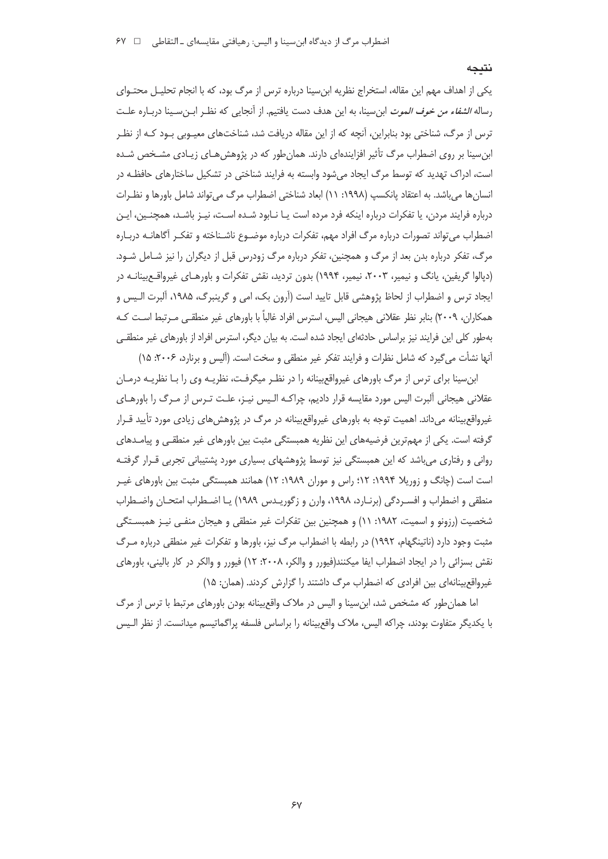#### نتىجە

یکی از اهداف مهم این مقاله، استخراج نظریه ابنِسینا درباره ترس از مرگ بود، که با انجام تحلیـل محتـوای رساله *الشفاء من خوف الموت* ابن سينا، به اين هدف دست يافتيم. از آنجايي كه نظـر ابـن سـينا دربـاره علـت ترس از مرگ، شناختی بود بنابراین، آنچه که از این مقاله دریافت شد، شناختهای معیـوبی بـود کـه از نظـر ابن سینا بر روی اضطراب مرگ تأثیر افزایندهای دارند. همان طور که در پژوهش هـای زیـادی مشـخص شـده است، ادراک تهدید که توسط مرگ ایجاد می شود وابسته به فرایند شناختی در تشکیل ساختارهای حافظـه در انسان ها می باشد. به اعتقاد پانکسپ (۱۹۹۸: ۱۱) ابعاد شناختی اضطراب مرگ می تواند شامل باورها و نظـرات درباره فرایند مردن، یا تفکرات درباره اینکه فرد مرده است یـا نـابود شـده اسـت، نیـز باشـد، همچنـین، ایـن اضطراب می تواند تصورات درباره مرگ افراد مهم، تفکرات درباره موضـوع ناشـناخته و تفکـر آگاهانــه دربــاره مرگ، تفکر درباره بدن بعد از مرگ و همچنین، تفکر درباره مرگ زودرس قبل از دیگران را نیز شـامل شـود. (دیالوا گریفین، پانگ و نیمیر، ۲۰۰۳، نیمیر، ۱۹۹۴) بدون تردید، نقش تفکرات و باورهـای غیرواقـع.بینانـه در ایجاد ترس و اضطراب از لحاظ پژوهشی قابل تایید است (آرون بک، امی و گرینبرگ، ۱۹۸۵، آلبرت الـیس و همكاران، ٢٠٠٩) بنابر نظر عقلاني هيجاني اليس، استرس افراد غالباً با باورهاي غير منطقـي مـرتبط اسـت كـه بهطور كلي اين فرايند نيز براساس حادثهاي ايجاد شده است. به بيان ديگر، استرس افراد از باورهاي غير منطقـي آنها نشأت میگیرد که شامل نظرات و فرایند تفکر غیر منطقی و سخت است. (آلیس و برنارد، ۲۰۰۶: ۱۵)

ابن سینا برای ترس از مرگ باورهای غیرواقع بینانه را در نظـر میگرفـت، نظریـه وی را بـا نظریـه درمـان عقلانی هیجانی آلبرت الیس مورد مقایسه قرار دادیم، چراکـه الـیس نیـز، علـت تـرس از مـرگ را باورهـای غیرواقع بینانه میداند. اهمیت توجه به باورهای غیرواقع بینانه در مرگ در پژوهش های زیادی مورد تأیید قـرار گرفته است. یکی از مهمترین فرضیههای این نظریه همبستگی مثبت بین باورهای غیر منطقی و پیامـدهای روانی و رفتاری می باشد که این همبستگی نیز توسط پژوهشهای بسیاری مورد پشتیبانی تجربی قـرار گرفتـه است است (چانگ و زوریلا ۱۹۹۴: ۱۲؛ راس و موران ۱۹۸۹: ۱۲) همانند همبستگی مثبت بین باورهای غیـر منطقی و اضطراب و افسـردگی (برنـارد، ۱۹۹۸، وارن و زگوریـدس ۱۹۸۹) یـا اضـطراب امتحـان واضـطراب شخصیت (رزونو و اسمیت، ۱۹۸۲: ۱۱) و همچنین بین تفکرات غیر منطقی و هیجان منفـی نیـز همبسـتگی مثبت وجود دارد (ناتینگهام، ۱۹۹۲) در رابطه با اضطراب مرگ نیز، باورها و تفکرات غیر منطقی درباره مـرگ نقش بسزائی را در ایجاد اضطراب ایفا میکنند(فیورر و والکر، ۲۰۰۸: ۱۲) فیورر و والکر در کار بالینی، باورهای غیرواقع بینانهای بین افرادی که اضطراب مرگ داشتند را گزارش کردند. (همان: ۱۵)

اما همان طور که مشخص شد، ابن سینا و الیس در ملاک واقع بینانه بودن باورهای مرتبط با ترس از مرگ با يكديگر متفاوت بودند، چراكه اليس، ملاك واقع بينانه را براساس فلسفه پراگماتيسم ميدانست. از نظر الـيس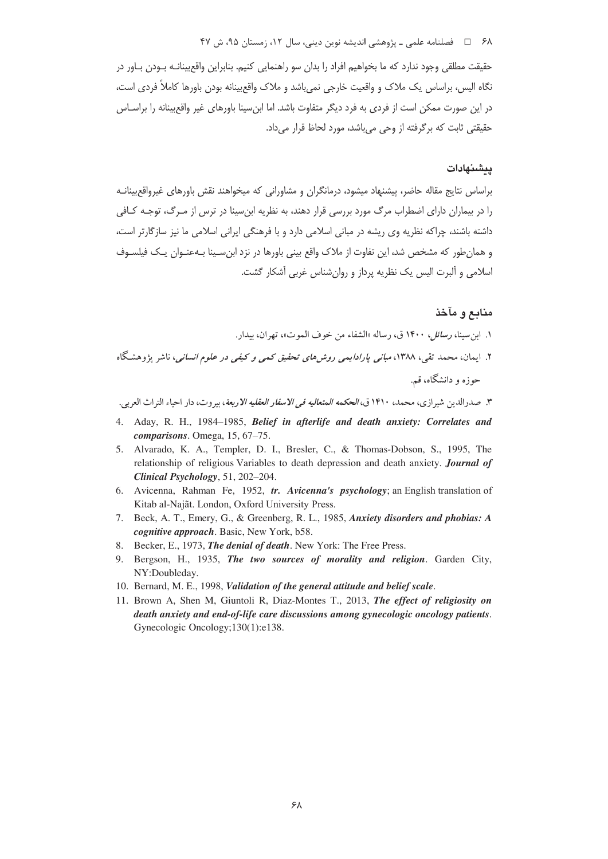#### ۶۸ = □ فصلنامه علمی ــ یژوهشی اندیشه نوین دینی، سال ۱۲، زمستان ۹۵، ش ۴۷

حقیقت مطلقی وجود ندارد که ما بخواهیم افراد را بدان سو راهنمایی کنیم. بنابراین واقع بینانـه بـودن بـاور در نگاه الیس، براساس یک ملاک و واقعیت خارجی نمیباشد و ملاک واقعبینانه بودن باورها کاملاً فردی است، در این صورت ممکن است از فردی به فرد دیگر متفاوت باشد. اما ابن سینا باورهای غیر واقع بینانه را براسـاس حقیقتی ثابت که برگرفته از وحی می باشد، مورد لحاظ قرار می داد.

### بيشنهادات

براساس نتایج مقاله حاضر، پیشنهاد میشود، درمانگران و مشاورانی که میخواهند نقش باورهای غیرواقع بینانـه را در بیماران دارای اضطراب مرگ مورد بررسی قرار دهند، به نظریه ابن سینا در ترس از مـرگ، توجـه کـافی داشته باشند، چراکه نظریه وی ریشه در مبانی اسلامی دارد و با فرهنگی ایرانی اسلامی ما نیز سازگارتر است، و همان طور که مشخص شد، این تفاوت از ملاک واقع بینی باورها در نزد ابن سـینا بـهعنـوان یـک فیلسـوف اسلامی و آلبرت الیس یک نظریه پرداز و روان شناس غربی آشکار گشت.

## منابع و مآخذ

- ١. ابن سينا، ر*سائل، ١*۴٠٠ ق، رساله «الشفاء من خوف الموت»، تهران، بيدار.
- ۲. ایمان، محمد تقی، ۱۳۸۸، *مبانی یارادایمی روش های تحقیق کمی و کیفی در علوم انسانی،* ناشر یژوهشگاه حوزه و دانشگاه، قم.

٣. صدرالدين شيرازي، محمد، ١۴١٠ ق، *الحكمه المتعاليه في الاسفار العقليه الاربعة*، بيروت، دار احياء التراث العربي.

- 4. Aday, R. H., 1984–1985, Belief in afterlife and death anxiety: Correlates and comparisons. Omega, 15, 67-75.
- 5. Alvarado, K. A., Templer, D. I., Bresler, C., & Thomas-Dobson, S., 1995, The relationship of religious Variables to death depression and death anxiety. Journal of Clinical Psychology, 51, 202-204.
- 6. Avicenna, Rahman Fe, 1952, tr. Avicenna's psychology; an English translation of Kitab al-Najãt. London, Oxford University Press.
- 7. Beck, A. T., Emery, G., & Greenberg, R. L., 1985, Anxiety disorders and phobias: A cognitive approach. Basic, New York, b58.
- 8. Becker, E., 1973, The denial of death. New York: The Free Press.
- 9. Bergson, H., 1935, The two sources of morality and religion. Garden City, NY:Doubleday.
- 10. Bernard, M. E., 1998, Validation of the general attitude and belief scale.
- 11. Brown A, Shen M, Giuntoli R, Diaz-Montes T., 2013, The effect of religiosity on death anxiety and end-of-life care discussions among gynecologic oncology patients. Gynecologic Oncology; 130(1): e138.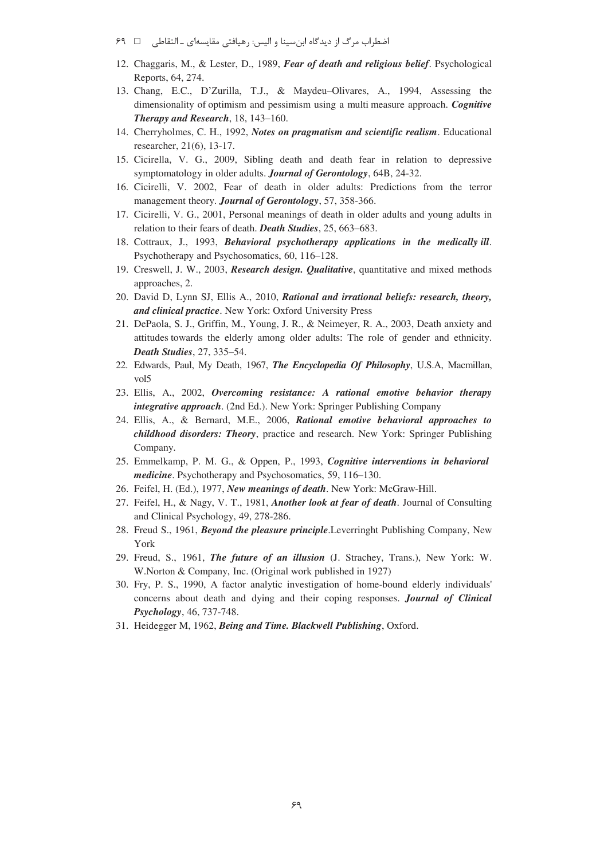- اضطراب مرگ از دیدگاه ابنسینا و الیس: رهیافتی مقایسهای ـ التقاطی ⊥ ـ ۶۹
- 12. Chaggaris, M., & Lester, D., 1989, *Fear of death and religious belief*. Psychological Reports, 64, 274.
- 13. Chang, E.C., D'Zurilla, T.J., & Maydeu-Olivares, A., 1994, Assessing the dimensionality of optimism and pessimism using a multi measure approach. *Cognitive Therapy and Research*, 18, 143-160.
- 14. Cherryholmes, C. H., 1992, *Notes on pragmatism and scientific realism*. Educational researcher, 21(6), 13-17.
- 15. Cicirella, V. G., 2009, Sibling death and death fear in relation to depressive symptomatology in older adults. *Journal of Gerontology*, 64B, 24-32.
- 16. Cicirelli, V. 2002, Fear of death in older adults: Predictions from the terror management theory. *Journal of Gerontology*, 57, 358-366.
- 17. Cicirelli, V. G., 2001, Personal meanings of death in older adults and young adults in relation to their fears of death. *Death Studies*, 25, 663-683.
- 18. Cottraux, J., 1993, *Behavioral psychotherapy applications in the medically ill*. Psychotherapy and Psychosomatics, 60, 116-128.
- 19. Creswell, J. W., 2003, *Research design. Qualitative*, quantitative and mixed methods approaches, 2.
- 20. David D, Lynn SJ, Ellis A., 2010, *Rational and irrational beliefs: research, theory, and clinical practice*. New York: Oxford University Press
- 21. DePaola, S. J., Griffin, M., Young, J. R., & Neimeyer, R. A., 2003, Death anxiety and attitudes towards the elderly among older adults: The role of gender and ethnicity. *Death Studies*, 27, 335-54.
- 22. Edwards, Paul, My Death, 1967, *The Encyclopedia Of Philosophy*, U.S.A, Macmillan, vol5
- 23. Ellis, A., 2002, *Overcoming resistance: A rational emotive behavior therapy integrative approach*. (2nd Ed.). New York: Springer Publishing Company
- 24. Ellis, A., & Bernard, M.E., 2006, *Rational emotive behavioral approaches to childhood disorders: Theory*, practice and research. New York: Springer Publishing Company.
- 25. Emmelkamp, P. M. G., & Oppen, P., 1993, *Cognitive interventions in behavioral medicine*. Psychotherapy and Psychosomatics, 59, 116-130.
- 26. Feifel, H. (Ed.), 1977, *New meanings of death*. New York: McGraw-Hill.
- 27. Feifel, H., & Nagy, V. T., 1981, *Another look at fear of death*. Journal of Consulting and Clinical Psychology, 49, 278-286.
- 28. Freud S., 1961, *Beyond the pleasure principle*.Leverringht Publishing Company, New York
- 29. Freud, S., 1961, *The future of an illusion* (J. Strachey, Trans.), New York: W. W.Norton & Company, Inc. (Original work published in 1927)
- 30. Fry, P. S., 1990, A factor analytic investigation of home-bound elderly individuals' concerns about death and dying and their coping responses. *Journal of Clinical Psychology*, 46, 737-748.
- 31. Heidegger M, 1962, *Being and Time. Blackwell Publishing*, Oxford.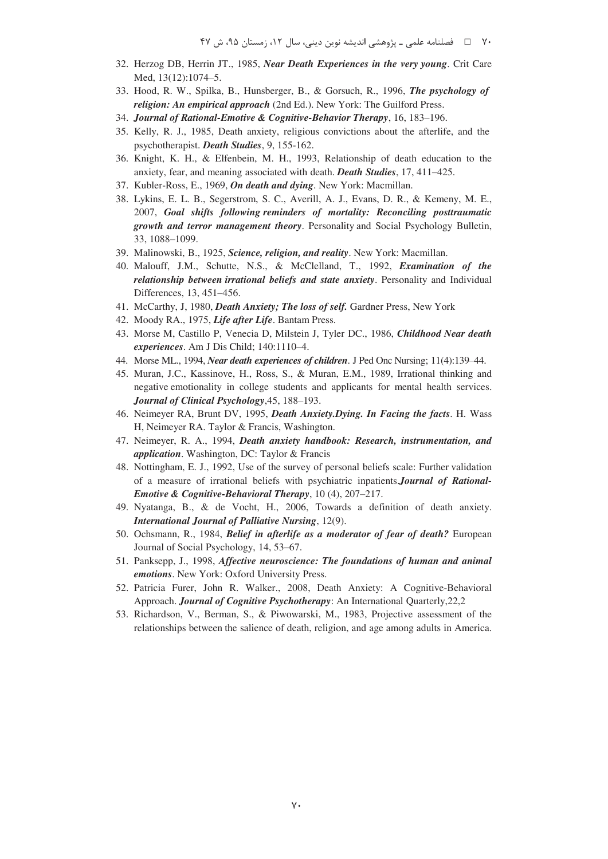- 32. Herzog DB, Herrin JT., 1985, *Near Death Experiences in the very young*. Crit Care Med, 13(12):1074-5.
- 33. Hood, R. W., Spilka, B., Hunsberger, B., & Gorsuch, R., 1996, *The psychology of religion: An empirical approach* (2nd Ed.). New York: The Guilford Press.
- 34. *Journal of Rational-Emotive & Cognitive-Behavior Therapy*, 16, 183-196.
- 35. Kelly, R. J., 1985, Death anxiety, religious convictions about the afterlife, and the psychotherapist. *Death Studies*, 9, 155-162.
- 36. Knight, K. H., & Elfenbein, M. H., 1993, Relationship of death education to the anxiety, fear, and meaning associated with death. *Death Studies*, 17, 411-425.
- 37. Kubler-Ross, E., 1969, *On death and dying*. New York: Macmillan.
- 38. Lykins, E. L. B., Segerstrom, S. C., Averill, A. J., Evans, D. R., & Kemeny, M. E., 2007, *Goal shifts following reminders of mortality: Reconciling posttraumatic growth and terror management theory*. Personality and Social Psychology Bulletin, 33, 1088-1099.
- 39. Malinowski, B., 1925, *Science, religion, and reality*. New York: Macmillan.
- 40. Malouff, J.M., Schutte, N.S., & McClelland, T., 1992, *Examination of the relationship between irrational beliefs and state anxiety*. Personality and Individual Differences, 13, 451-456.
- 41. McCarthy, J, 1980, *Death Anxiety; The loss of self.* Gardner Press, New York
- 42. Moody RA., 1975, *Life after Life*. Bantam Press.
- 43. Morse M, Castillo P, Venecia D, Milstein J, Tyler DC., 1986, *Childhood Near death experiences*. Am J Dis Child; 140:1110-4.
- 44. Morse ML., 1994, *Near death experiences of children*. J Ped Onc Nursing; 11(4):139-44.
- 45. Muran, J.C., Kassinove, H., Ross, S., & Muran, E.M., 1989, Irrational thinking and negative emotionality in college students and applicants for mental health services. *Journal of Clinical Psychology*,45, 188-193.
- 46. Neimeyer RA, Brunt DV, 1995, *Death Anxiety.Dying. In Facing the facts*. H. Wass H, Neimeyer RA. Taylor & Francis, Washington.
- 47. Neimeyer, R. A., 1994, *Death anxiety handbook: Research, instrumentation, and application*. Washington, DC: Taylor & Francis
- 48. Nottingham, E. J., 1992, Use of the survey of personal beliefs scale: Further validation of a measure of irrational beliefs with psychiatric inpatients.*Journal of Rational-Emotive & Cognitive-Behavioral Therapy*, 10 (4), 207-217.
- 49. Nyatanga, B., & de Vocht, H., 2006, Towards a definition of death anxiety. *International Journal of Palliative Nursing*, 12(9).
- 50. Ochsmann, R., 1984, *Belief in afterlife as a moderator of fear of death?* European Journal of Social Psychology, 14, 53-67.
- 51. Panksepp, J., 1998, *Affective neuroscience: The foundations of human and animal emotions*. New York: Oxford University Press.
- 52. Patricia Furer, John R. Walker., 2008, Death Anxiety: A Cognitive-Behavioral Approach. *Journal of Cognitive Psychotherapy*: An International Quarterly,22,2
- 53. Richardson, V., Berman, S., & Piwowarski, M., 1983, Projective assessment of the relationships between the salience of death, religion, and age among adults in America.